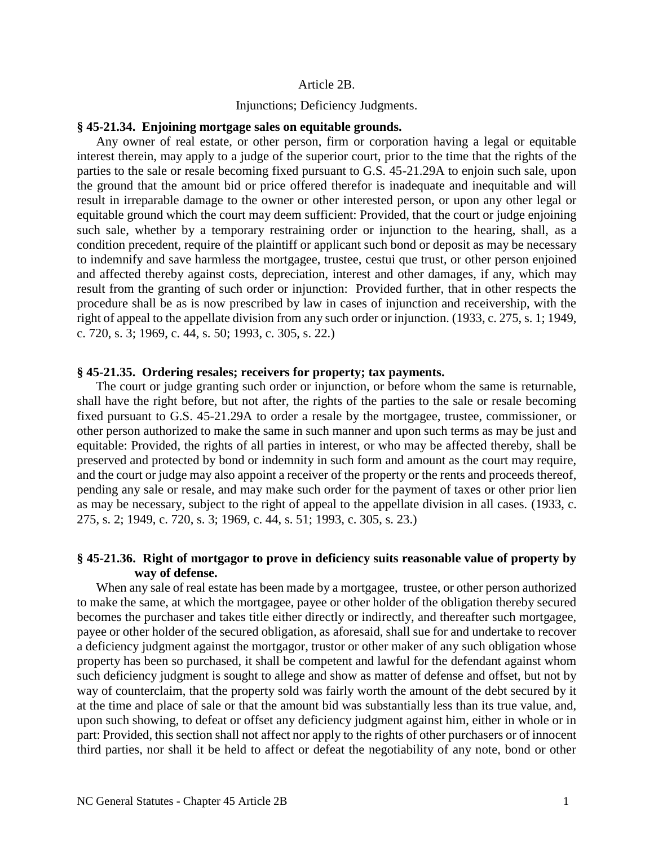### Article 2B.

### Injunctions; Deficiency Judgments.

### **§ 45-21.34. Enjoining mortgage sales on equitable grounds.**

Any owner of real estate, or other person, firm or corporation having a legal or equitable interest therein, may apply to a judge of the superior court, prior to the time that the rights of the parties to the sale or resale becoming fixed pursuant to G.S. 45-21.29A to enjoin such sale, upon the ground that the amount bid or price offered therefor is inadequate and inequitable and will result in irreparable damage to the owner or other interested person, or upon any other legal or equitable ground which the court may deem sufficient: Provided, that the court or judge enjoining such sale, whether by a temporary restraining order or injunction to the hearing, shall, as a condition precedent, require of the plaintiff or applicant such bond or deposit as may be necessary to indemnify and save harmless the mortgagee, trustee, cestui que trust, or other person enjoined and affected thereby against costs, depreciation, interest and other damages, if any, which may result from the granting of such order or injunction: Provided further, that in other respects the procedure shall be as is now prescribed by law in cases of injunction and receivership, with the right of appeal to the appellate division from any such order or injunction. (1933, c. 275, s. 1; 1949, c. 720, s. 3; 1969, c. 44, s. 50; 1993, c. 305, s. 22.)

### **§ 45-21.35. Ordering resales; receivers for property; tax payments.**

The court or judge granting such order or injunction, or before whom the same is returnable, shall have the right before, but not after, the rights of the parties to the sale or resale becoming fixed pursuant to G.S. 45-21.29A to order a resale by the mortgagee, trustee, commissioner, or other person authorized to make the same in such manner and upon such terms as may be just and equitable: Provided, the rights of all parties in interest, or who may be affected thereby, shall be preserved and protected by bond or indemnity in such form and amount as the court may require, and the court or judge may also appoint a receiver of the property or the rents and proceeds thereof, pending any sale or resale, and may make such order for the payment of taxes or other prior lien as may be necessary, subject to the right of appeal to the appellate division in all cases. (1933, c. 275, s. 2; 1949, c. 720, s. 3; 1969, c. 44, s. 51; 1993, c. 305, s. 23.)

# **§ 45-21.36. Right of mortgagor to prove in deficiency suits reasonable value of property by way of defense.**

When any sale of real estate has been made by a mortgagee, trustee, or other person authorized to make the same, at which the mortgagee, payee or other holder of the obligation thereby secured becomes the purchaser and takes title either directly or indirectly, and thereafter such mortgagee, payee or other holder of the secured obligation, as aforesaid, shall sue for and undertake to recover a deficiency judgment against the mortgagor, trustor or other maker of any such obligation whose property has been so purchased, it shall be competent and lawful for the defendant against whom such deficiency judgment is sought to allege and show as matter of defense and offset, but not by way of counterclaim, that the property sold was fairly worth the amount of the debt secured by it at the time and place of sale or that the amount bid was substantially less than its true value, and, upon such showing, to defeat or offset any deficiency judgment against him, either in whole or in part: Provided, this section shall not affect nor apply to the rights of other purchasers or of innocent third parties, nor shall it be held to affect or defeat the negotiability of any note, bond or other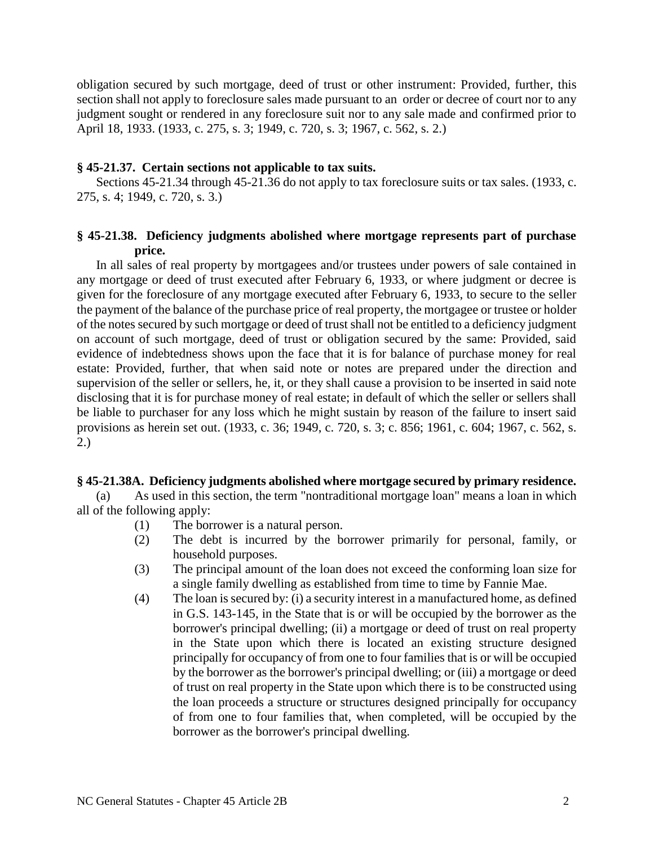obligation secured by such mortgage, deed of trust or other instrument: Provided, further, this section shall not apply to foreclosure sales made pursuant to an order or decree of court nor to any judgment sought or rendered in any foreclosure suit nor to any sale made and confirmed prior to April 18, 1933. (1933, c. 275, s. 3; 1949, c. 720, s. 3; 1967, c. 562, s. 2.)

## **§ 45-21.37. Certain sections not applicable to tax suits.**

Sections 45-21.34 through 45-21.36 do not apply to tax foreclosure suits or tax sales. (1933, c. 275, s. 4; 1949, c. 720, s. 3.)

# **§ 45-21.38. Deficiency judgments abolished where mortgage represents part of purchase price.**

In all sales of real property by mortgagees and/or trustees under powers of sale contained in any mortgage or deed of trust executed after February 6, 1933, or where judgment or decree is given for the foreclosure of any mortgage executed after February 6, 1933, to secure to the seller the payment of the balance of the purchase price of real property, the mortgagee or trustee or holder of the notes secured by such mortgage or deed of trust shall not be entitled to a deficiency judgment on account of such mortgage, deed of trust or obligation secured by the same: Provided, said evidence of indebtedness shows upon the face that it is for balance of purchase money for real estate: Provided, further, that when said note or notes are prepared under the direction and supervision of the seller or sellers, he, it, or they shall cause a provision to be inserted in said note disclosing that it is for purchase money of real estate; in default of which the seller or sellers shall be liable to purchaser for any loss which he might sustain by reason of the failure to insert said provisions as herein set out. (1933, c. 36; 1949, c. 720, s. 3; c. 856; 1961, c. 604; 1967, c. 562, s. 2.)

## **§ 45-21.38A. Deficiency judgments abolished where mortgage secured by primary residence.**

(a) As used in this section, the term "nontraditional mortgage loan" means a loan in which all of the following apply:

- (1) The borrower is a natural person.
- (2) The debt is incurred by the borrower primarily for personal, family, or household purposes.
- (3) The principal amount of the loan does not exceed the conforming loan size for a single family dwelling as established from time to time by Fannie Mae.
- (4) The loan is secured by: (i) a security interest in a manufactured home, as defined in G.S. 143-145, in the State that is or will be occupied by the borrower as the borrower's principal dwelling; (ii) a mortgage or deed of trust on real property in the State upon which there is located an existing structure designed principally for occupancy of from one to four families that is or will be occupied by the borrower as the borrower's principal dwelling; or (iii) a mortgage or deed of trust on real property in the State upon which there is to be constructed using the loan proceeds a structure or structures designed principally for occupancy of from one to four families that, when completed, will be occupied by the borrower as the borrower's principal dwelling.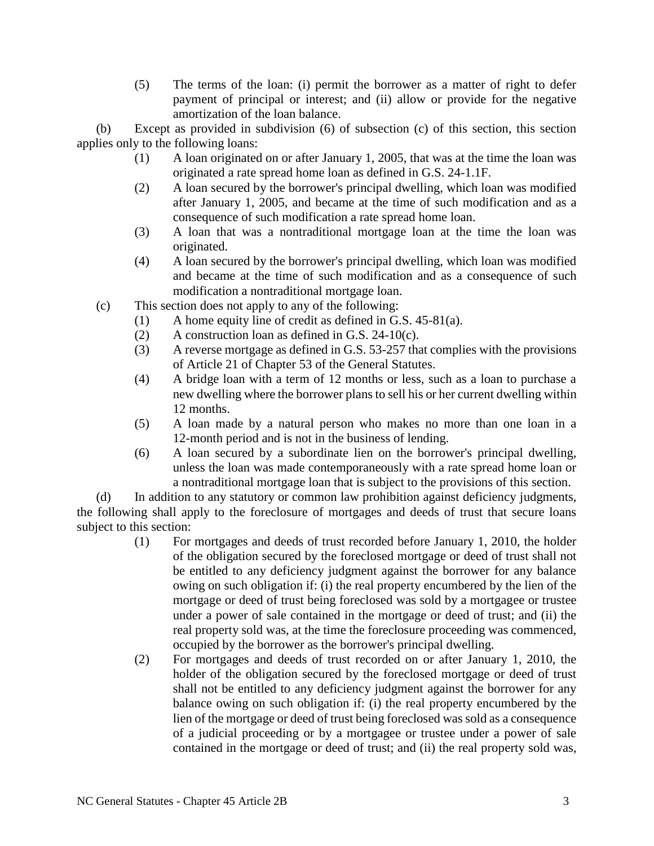(5) The terms of the loan: (i) permit the borrower as a matter of right to defer payment of principal or interest; and (ii) allow or provide for the negative amortization of the loan balance.

(b) Except as provided in subdivision (6) of subsection (c) of this section, this section applies only to the following loans:

- (1) A loan originated on or after January 1, 2005, that was at the time the loan was originated a rate spread home loan as defined in G.S. 24-1.1F.
- (2) A loan secured by the borrower's principal dwelling, which loan was modified after January 1, 2005, and became at the time of such modification and as a consequence of such modification a rate spread home loan.
- (3) A loan that was a nontraditional mortgage loan at the time the loan was originated.
- (4) A loan secured by the borrower's principal dwelling, which loan was modified and became at the time of such modification and as a consequence of such modification a nontraditional mortgage loan.
- (c) This section does not apply to any of the following:
	- (1) A home equity line of credit as defined in G.S. 45-81(a).
	- (2) A construction loan as defined in G.S. 24-10(c).
	- (3) A reverse mortgage as defined in G.S. 53-257 that complies with the provisions of Article 21 of Chapter 53 of the General Statutes.
	- (4) A bridge loan with a term of 12 months or less, such as a loan to purchase a new dwelling where the borrower plans to sell his or her current dwelling within 12 months.
	- (5) A loan made by a natural person who makes no more than one loan in a 12-month period and is not in the business of lending.
	- (6) A loan secured by a subordinate lien on the borrower's principal dwelling, unless the loan was made contemporaneously with a rate spread home loan or a nontraditional mortgage loan that is subject to the provisions of this section.

(d) In addition to any statutory or common law prohibition against deficiency judgments, the following shall apply to the foreclosure of mortgages and deeds of trust that secure loans subject to this section:

- (1) For mortgages and deeds of trust recorded before January 1, 2010, the holder of the obligation secured by the foreclosed mortgage or deed of trust shall not be entitled to any deficiency judgment against the borrower for any balance owing on such obligation if: (i) the real property encumbered by the lien of the mortgage or deed of trust being foreclosed was sold by a mortgagee or trustee under a power of sale contained in the mortgage or deed of trust; and (ii) the real property sold was, at the time the foreclosure proceeding was commenced, occupied by the borrower as the borrower's principal dwelling.
- (2) For mortgages and deeds of trust recorded on or after January 1, 2010, the holder of the obligation secured by the foreclosed mortgage or deed of trust shall not be entitled to any deficiency judgment against the borrower for any balance owing on such obligation if: (i) the real property encumbered by the lien of the mortgage or deed of trust being foreclosed was sold as a consequence of a judicial proceeding or by a mortgagee or trustee under a power of sale contained in the mortgage or deed of trust; and (ii) the real property sold was,